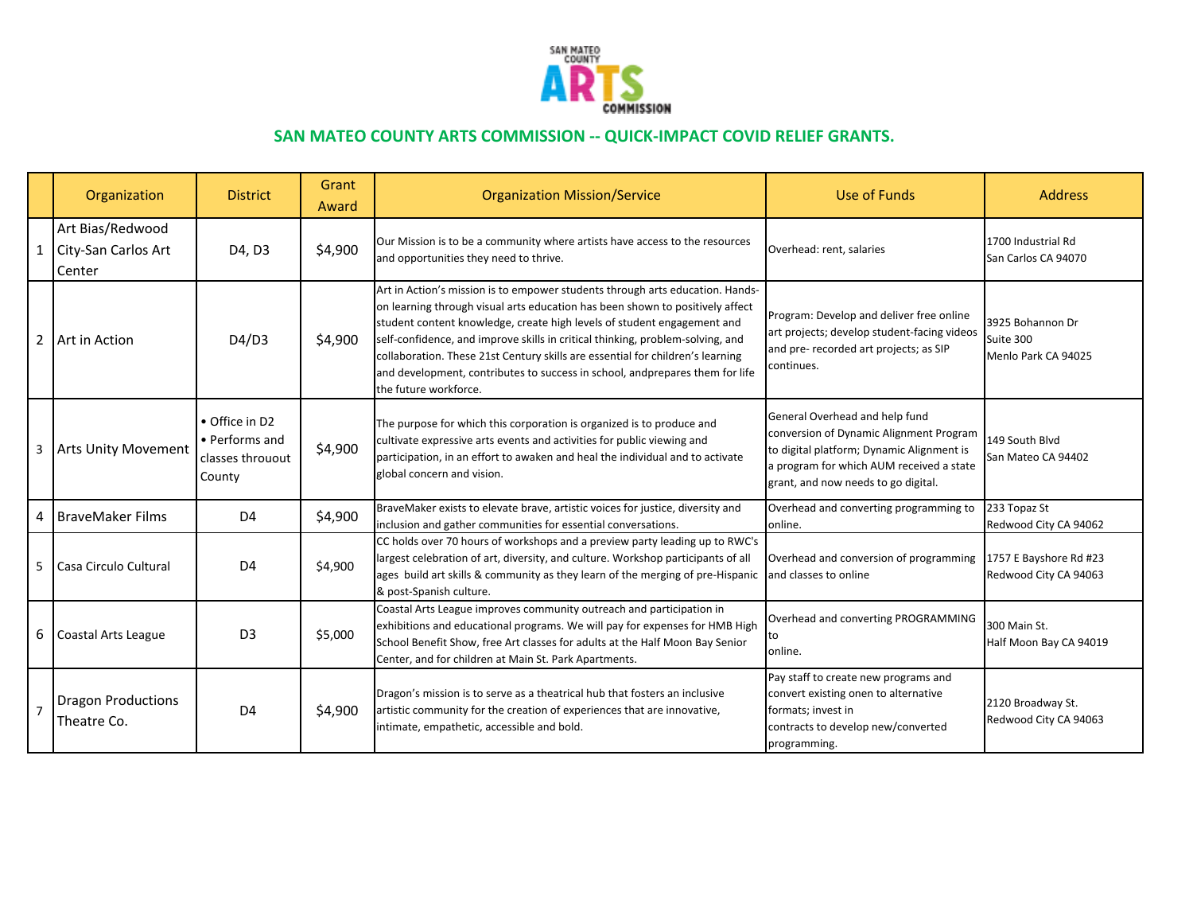

## **SAN MATEO COUNTY ARTS COMMISSION -- QUICK-IMPACT COVID RELIEF GRANTS.**

|                | Organization                                        | <b>District</b>                                                | Grant<br>Award | <b>Organization Mission/Service</b>                                                                                                                                                                                                                                                                                                                                                                                                                                                                                    | Use of Funds                                                                                                                                                                                              | <b>Address</b>                                       |
|----------------|-----------------------------------------------------|----------------------------------------------------------------|----------------|------------------------------------------------------------------------------------------------------------------------------------------------------------------------------------------------------------------------------------------------------------------------------------------------------------------------------------------------------------------------------------------------------------------------------------------------------------------------------------------------------------------------|-----------------------------------------------------------------------------------------------------------------------------------------------------------------------------------------------------------|------------------------------------------------------|
|                | Art Bias/Redwood<br>1 City-San Carlos Art<br>Center | D4, D3                                                         | \$4,900        | Our Mission is to be a community where artists have access to the resources<br>and opportunities they need to thrive.                                                                                                                                                                                                                                                                                                                                                                                                  | Overhead: rent, salaries                                                                                                                                                                                  | 1700 Industrial Rd<br>San Carlos CA 94070            |
| $\overline{2}$ | Art in Action                                       | D4/D3                                                          | \$4,900        | Art in Action's mission is to empower students through arts education. Hands-<br>on learning through visual arts education has been shown to positively affect<br>student content knowledge, create high levels of student engagement and<br>self-confidence, and improve skills in critical thinking, problem-solving, and<br>collaboration. These 21st Century skills are essential for children's learning<br>and development, contributes to success in school, andprepares them for life<br>the future workforce. | Program: Develop and deliver free online<br>art projects; develop student-facing videos<br>and pre- recorded art projects; as SIP<br>continues.                                                           | 3925 Bohannon Dr<br>Suite 300<br>Menlo Park CA 94025 |
| 3              | <b>Arts Unity Movement</b>                          | • Office in D2<br>• Performs and<br>classes throuout<br>County | \$4,900        | The purpose for which this corporation is organized is to produce and<br>cultivate expressive arts events and activities for public viewing and<br>participation, in an effort to awaken and heal the individual and to activate<br>global concern and vision.                                                                                                                                                                                                                                                         | General Overhead and help fund<br>conversion of Dynamic Alignment Program<br>to digital platform; Dynamic Alignment is<br>a program for which AUM received a state<br>grant, and now needs to go digital. | 149 South Blvd<br>San Mateo CA 94402                 |
| 4              | <b>BraveMaker Films</b>                             | D <sub>4</sub>                                                 | \$4,900        | BraveMaker exists to elevate brave, artistic voices for justice, diversity and<br>inclusion and gather communities for essential conversations.                                                                                                                                                                                                                                                                                                                                                                        | Overhead and converting programming to<br>online.                                                                                                                                                         | 233 Topaz St<br>Redwood City CA 94062                |
| 5              | Casa Circulo Cultural                               | D <sub>4</sub>                                                 | \$4,900        | CC holds over 70 hours of workshops and a preview party leading up to RWC's<br>largest celebration of art, diversity, and culture. Workshop participants of all<br>ages build art skills & community as they learn of the merging of pre-Hispanic<br>& post-Spanish culture.                                                                                                                                                                                                                                           | Overhead and conversion of programming<br>and classes to online                                                                                                                                           | 1757 E Bayshore Rd #23<br>Redwood City CA 94063      |
| 6              | Coastal Arts League                                 | D <sub>3</sub>                                                 | \$5,000        | Coastal Arts League improves community outreach and participation in<br>exhibitions and educational programs. We will pay for expenses for HMB High<br>School Benefit Show, free Art classes for adults at the Half Moon Bay Senior<br>Center, and for children at Main St. Park Apartments.                                                                                                                                                                                                                           | Overhead and converting PROGRAMMING<br>to<br>online.                                                                                                                                                      | 300 Main St.<br>Half Moon Bay CA 94019               |
| $\overline{7}$ | <b>Dragon Productions</b><br>Theatre Co.            | D <sub>4</sub>                                                 | \$4,900        | Dragon's mission is to serve as a theatrical hub that fosters an inclusive<br>artistic community for the creation of experiences that are innovative,<br>intimate, empathetic, accessible and bold.                                                                                                                                                                                                                                                                                                                    | Pay staff to create new programs and<br>convert existing onen to alternative<br>formats; invest in<br>contracts to develop new/converted<br>programming.                                                  | 2120 Broadway St.<br>Redwood City CA 94063           |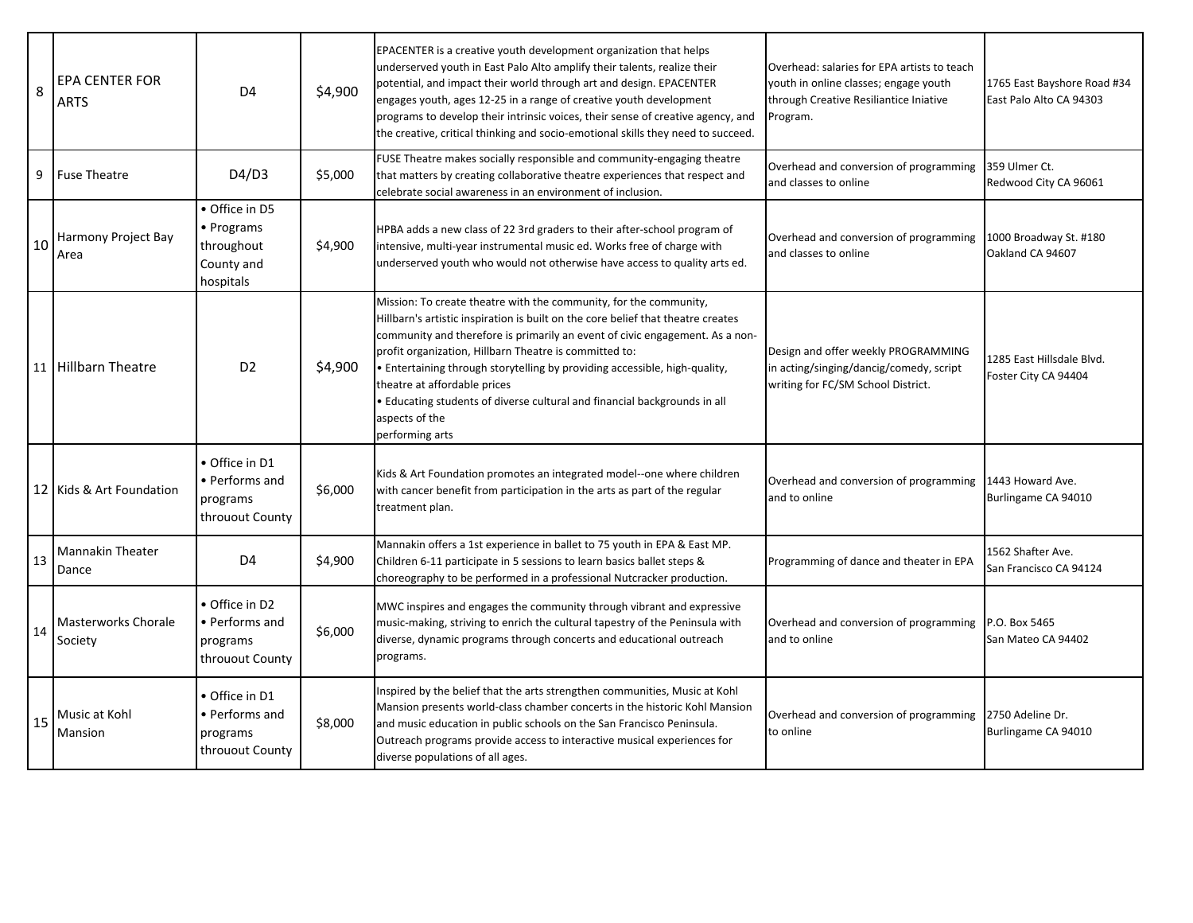| 8  | <b>EPA CENTER FOR</b><br><b>ARTS</b> | D <sub>4</sub>                                                        | \$4,900 | EPACENTER is a creative youth development organization that helps<br>underserved youth in East Palo Alto amplify their talents, realize their<br>potential, and impact their world through art and design. EPACENTER<br>engages youth, ages 12-25 in a range of creative youth development<br>programs to develop their intrinsic voices, their sense of creative agency, and<br>the creative, critical thinking and socio-emotional skills they need to succeed.                                                               | Overhead: salaries for EPA artists to teach<br>youth in online classes; engage youth<br>through Creative Resiliantice Iniative<br>Program. | 1765 East Bayshore Road #34<br>East Palo Alto CA 94303 |
|----|--------------------------------------|-----------------------------------------------------------------------|---------|---------------------------------------------------------------------------------------------------------------------------------------------------------------------------------------------------------------------------------------------------------------------------------------------------------------------------------------------------------------------------------------------------------------------------------------------------------------------------------------------------------------------------------|--------------------------------------------------------------------------------------------------------------------------------------------|--------------------------------------------------------|
| 9  | <b>Fuse Theatre</b>                  | D4/D3                                                                 | \$5,000 | FUSE Theatre makes socially responsible and community-engaging theatre<br>that matters by creating collaborative theatre experiences that respect and<br>celebrate social awareness in an environment of inclusion.                                                                                                                                                                                                                                                                                                             | Overhead and conversion of programming<br>and classes to online                                                                            | 359 Ulmer Ct.<br>Redwood City CA 96061                 |
| 10 | Harmony Project Bay<br>Area          | • Office in D5<br>• Programs<br>throughout<br>County and<br>hospitals | \$4,900 | HPBA adds a new class of 22 3rd graders to their after-school program of<br>intensive, multi-year instrumental music ed. Works free of charge with<br>underserved youth who would not otherwise have access to quality arts ed.                                                                                                                                                                                                                                                                                                 | Overhead and conversion of programming<br>and classes to online                                                                            | 1000 Broadway St. #180<br>Oakland CA 94607             |
| 11 | <b>Hillbarn Theatre</b>              | D <sub>2</sub>                                                        | \$4,900 | Mission: To create theatre with the community, for the community,<br>Hillbarn's artistic inspiration is built on the core belief that theatre creates<br>community and therefore is primarily an event of civic engagement. As a non-<br>profit organization, Hillbarn Theatre is committed to:<br>• Entertaining through storytelling by providing accessible, high-quality,<br>theatre at affordable prices<br>• Educating students of diverse cultural and financial backgrounds in all<br>aspects of the<br>performing arts | Design and offer weekly PROGRAMMING<br>in acting/singing/dancig/comedy, script<br>writing for FC/SM School District.                       | 1285 East Hillsdale Blvd.<br>Foster City CA 94404      |
|    | 12 Kids & Art Foundation             | • Office in D1<br>• Performs and<br>programs<br>throuout County       | \$6,000 | Kids & Art Foundation promotes an integrated model--one where children<br>with cancer benefit from participation in the arts as part of the regular<br>treatment plan.                                                                                                                                                                                                                                                                                                                                                          | Overhead and conversion of programming<br>and to online                                                                                    | 1443 Howard Ave.<br>Burlingame CA 94010                |
| 13 | <b>Mannakin Theater</b><br>Dance     | D <sub>4</sub>                                                        | \$4,900 | Mannakin offers a 1st experience in ballet to 75 youth in EPA & East MP.<br>Children 6-11 participate in 5 sessions to learn basics ballet steps &<br>choreography to be performed in a professional Nutcracker production.                                                                                                                                                                                                                                                                                                     | Programming of dance and theater in EPA                                                                                                    | 1562 Shafter Ave.<br>San Francisco CA 94124            |
| 14 | Masterworks Chorale<br>Society       | • Office in D2<br>• Performs and<br>programs<br>throuout County       | \$6,000 | MWC inspires and engages the community through vibrant and expressive<br>music-making, striving to enrich the cultural tapestry of the Peninsula with<br>diverse, dynamic programs through concerts and educational outreach<br>programs.                                                                                                                                                                                                                                                                                       | Overhead and conversion of programming<br>and to online                                                                                    | P.O. Box 5465<br>San Mateo CA 94402                    |
| 15 | Music at Kohl<br>Mansion             | • Office in D1<br>• Performs and<br>programs<br>throuout County       | \$8,000 | Inspired by the belief that the arts strengthen communities, Music at Kohl<br>Mansion presents world-class chamber concerts in the historic Kohl Mansion<br>and music education in public schools on the San Francisco Peninsula.<br>Outreach programs provide access to interactive musical experiences for<br>diverse populations of all ages.                                                                                                                                                                                | Overhead and conversion of programming<br>to online                                                                                        | 2750 Adeline Dr.<br>Burlingame CA 94010                |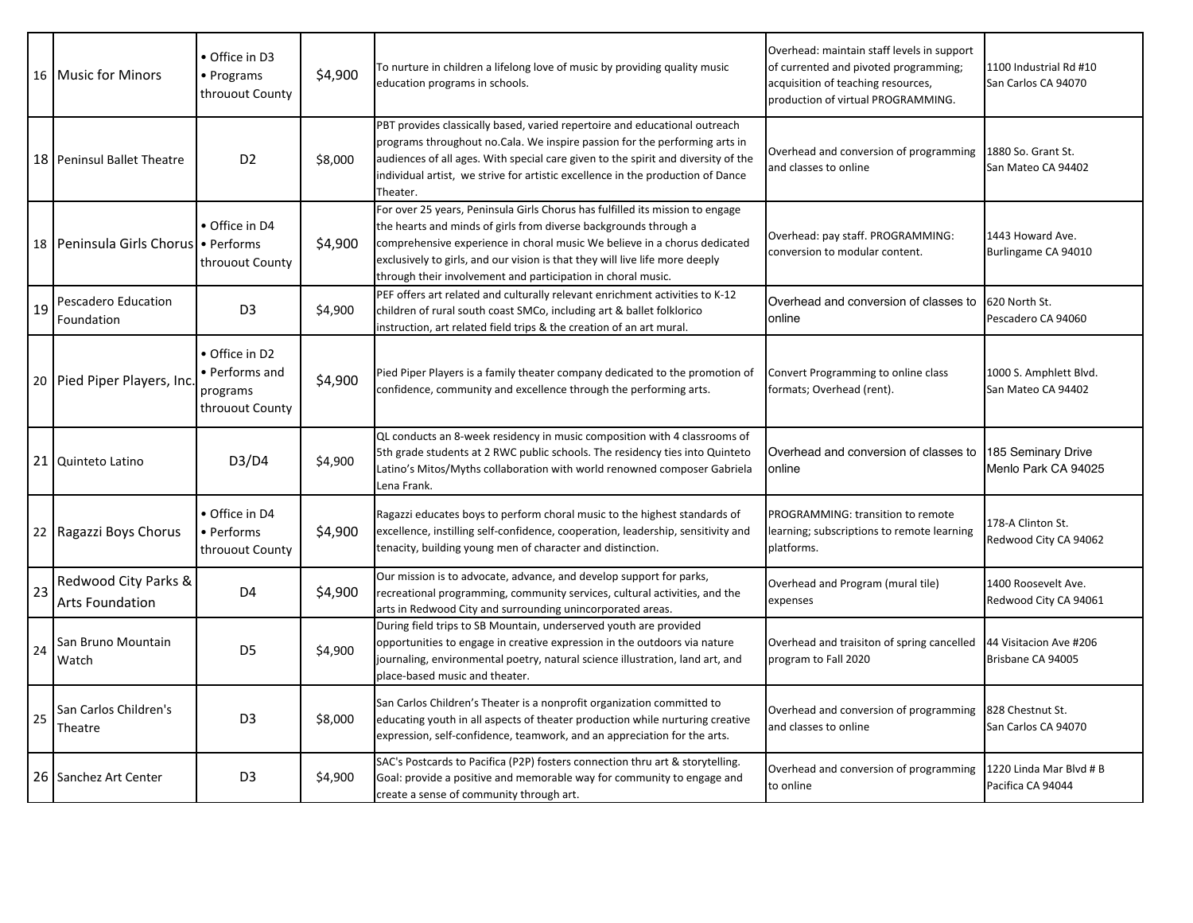|               | 16   Music for Minors                          | • Office in D3<br>• Programs<br>throuout County                 | \$4,900 | To nurture in children a lifelong love of music by providing quality music<br>education programs in schools.                                                                                                                                                                                                                                                                   | Overhead: maintain staff levels in support<br>of currented and pivoted programming;<br>acquisition of teaching resources,<br>production of virtual PROGRAMMING. | 1100 Industrial Rd #10<br>San Carlos CA 94070 |
|---------------|------------------------------------------------|-----------------------------------------------------------------|---------|--------------------------------------------------------------------------------------------------------------------------------------------------------------------------------------------------------------------------------------------------------------------------------------------------------------------------------------------------------------------------------|-----------------------------------------------------------------------------------------------------------------------------------------------------------------|-----------------------------------------------|
|               | 18   Peninsul Ballet Theatre                   | D <sub>2</sub>                                                  | \$8,000 | PBT provides classically based, varied repertoire and educational outreach<br>programs throughout no. Cala. We inspire passion for the performing arts in<br>audiences of all ages. With special care given to the spirit and diversity of the<br>individual artist, we strive for artistic excellence in the production of Dance<br>Theater.                                  | Overhead and conversion of programming<br>and classes to online                                                                                                 | 1880 So. Grant St.<br>San Mateo CA 94402      |
|               | 18 Peninsula Girls Chorus • Performs           | • Office in D4<br>throuout County                               | \$4,900 | For over 25 years, Peninsula Girls Chorus has fulfilled its mission to engage<br>the hearts and minds of girls from diverse backgrounds through a<br>comprehensive experience in choral music We believe in a chorus dedicated<br>exclusively to girls, and our vision is that they will live life more deeply<br>through their involvement and participation in choral music. | Overhead: pay staff. PROGRAMMING:<br>conversion to modular content.                                                                                             | 1443 Howard Ave.<br>Burlingame CA 94010       |
| <sup>19</sup> | Pescadero Education<br>Foundation              | D <sub>3</sub>                                                  | \$4,900 | PEF offers art related and culturally relevant enrichment activities to K-12<br>children of rural south coast SMCo, including art & ballet folklorico<br>instruction, art related field trips & the creation of an art mural.                                                                                                                                                  | Overhead and conversion of classes to<br>online                                                                                                                 | 620 North St.<br>Pescadero CA 94060           |
|               | 20 Pied Piper Players, Inc.                    | • Office in D2<br>• Performs and<br>programs<br>throuout County | \$4,900 | Pied Piper Players is a family theater company dedicated to the promotion of<br>confidence, community and excellence through the performing arts.                                                                                                                                                                                                                              | Convert Programming to online class<br>formats; Overhead (rent).                                                                                                | 1000 S. Amphlett Blvd.<br>San Mateo CA 94402  |
|               | 21 Quinteto Latino                             | D3/D4                                                           | \$4,900 | QL conducts an 8-week residency in music composition with 4 classrooms of<br>5th grade students at 2 RWC public schools. The residency ties into Quinteto<br>Latino's Mitos/Myths collaboration with world renowned composer Gabriela<br>Lena Frank.                                                                                                                           | Overhead and conversion of classes to<br>online                                                                                                                 | 185 Seminary Drive<br>Menlo Park CA 94025     |
|               | 22 Ragazzi Boys Chorus                         | • Office in D4<br>• Performs<br>throuout County                 | \$4,900 | Ragazzi educates boys to perform choral music to the highest standards of<br>excellence, instilling self-confidence, cooperation, leadership, sensitivity and<br>tenacity, building young men of character and distinction.                                                                                                                                                    | PROGRAMMING: transition to remote<br>learning; subscriptions to remote learning<br>platforms.                                                                   | 178-A Clinton St.<br>Redwood City CA 94062    |
| 23            | Redwood City Parks &<br><b>Arts Foundation</b> | D <sub>4</sub>                                                  | \$4,900 | Our mission is to advocate, advance, and develop support for parks,<br>recreational programming, community services, cultural activities, and the<br>arts in Redwood City and surrounding unincorporated areas.                                                                                                                                                                | Overhead and Program (mural tile)<br>expenses                                                                                                                   | 1400 Roosevelt Ave.<br>Redwood City CA 94061  |
| 24            | San Bruno Mountain<br>Watch                    | D <sub>5</sub>                                                  | \$4,900 | During field trips to SB Mountain, underserved youth are provided<br>opportunities to engage in creative expression in the outdoors via nature<br>journaling, environmental poetry, natural science illustration, land art, and<br>place-based music and theater.                                                                                                              | Overhead and traisiton of spring cancelled<br>program to Fall 2020                                                                                              | 44 Visitacion Ave #206<br>Brisbane CA 94005   |
| 25            | San Carlos Children's<br>Theatre               | D <sub>3</sub>                                                  | \$8,000 | San Carlos Children's Theater is a nonprofit organization committed to<br>educating youth in all aspects of theater production while nurturing creative<br>expression, self-confidence, teamwork, and an appreciation for the arts.                                                                                                                                            | Overhead and conversion of programming<br>and classes to online                                                                                                 | 828 Chestnut St.<br>San Carlos CA 94070       |
|               | 26 Sanchez Art Center                          | D <sub>3</sub>                                                  | \$4,900 | SAC's Postcards to Pacifica (P2P) fosters connection thru art & storytelling.<br>Goal: provide a positive and memorable way for community to engage and<br>create a sense of community through art.                                                                                                                                                                            | Overhead and conversion of programming<br>to online                                                                                                             | 1220 Linda Mar Blvd # B<br>Pacifica CA 94044  |